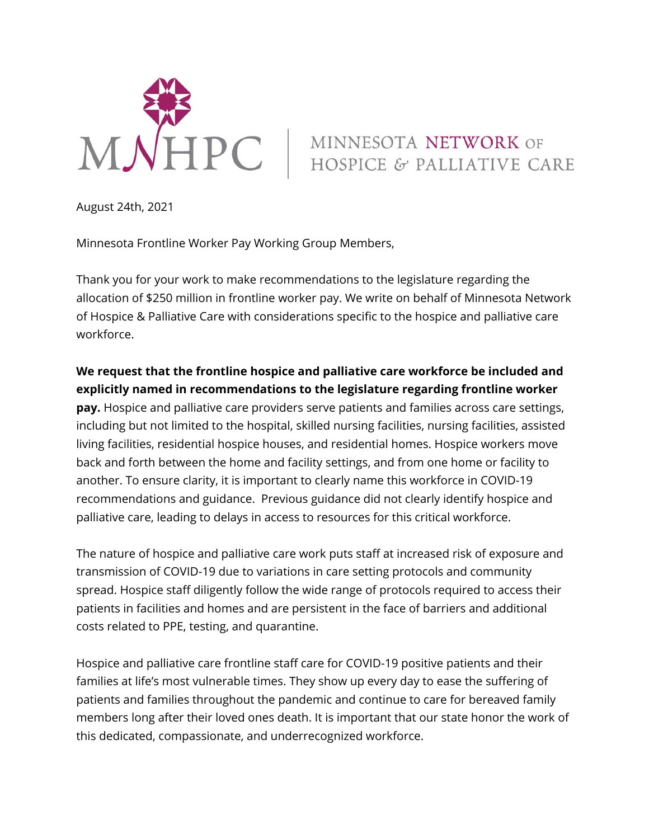

## MINNESOTA NETWORK OF HOSPICE & PALLIATIVE CARE

August 24th, 2021

Minnesota Frontline Worker Pay Working Group Members,

 Thank you for your work to make recommendations to the legislature regarding the allocation of \$250 million in frontline worker pay. We write on behalf of Minnesota Network of Hospice & Palliative Care with considerations specific to the hospice and palliative care workforce.

 **We request that the frontline hospice and palliative care workforce be included and explicitly named in recommendations to the legislature regarding frontline worker pay.** Hospice and palliative care providers serve patients and families across care settings, including but not limited to the hospital, skilled nursing facilities, nursing facilities, assisted living facilities, residential hospice houses, and residential homes. Hospice workers move back and forth between the home and facility settings, and from one home or facility to another. To ensure clarity, it is important to clearly name this workforce in COVID-19 recommendations and guidance. Previous guidance did not clearly identify hospice and palliative care, leading to delays in access to resources for this critical workforce.

 The nature of hospice and palliative care work puts staff at increased risk of exposure and transmission of COVID-19 due to variations in care setting protocols and community spread. Hospice staff diligently follow the wide range of protocols required to access their patients in facilities and homes and are persistent in the face of barriers and additional costs related to PPE, testing, and quarantine.

 Hospice and palliative care frontline staff care for COVID-19 positive patients and their families at life's most vulnerable times. They show up every day to ease the suffering of patients and families throughout the pandemic and continue to care for bereaved family members long after their loved ones death. It is important that our state honor the work of this dedicated, compassionate, and underrecognized workforce.